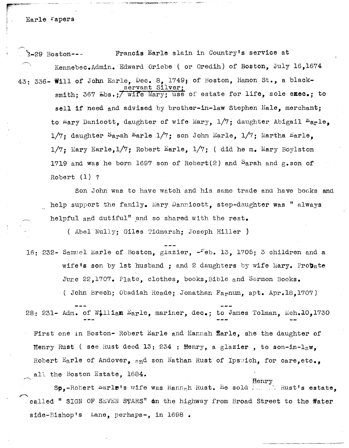Earle rapers

<sup>r</sup> <sup>c</sup> @'" -<-~ ««< r

**∕** 2-29 Boston--- Francis Earle slain in Country1s service at Kennebec.Admin. Edward Oriebe ( or Oredih) of Boston, July 16,1674 43: 336- Will of John Earle, Dec. 8, 1749) of Boston, Hamon St., a blackservant Si smith; 367 Lbs.; *Wife Mary;* use of estate for life, sole exec.; to sell if need and advised by brother-in-law Stephen Hale, merchant; to Mary Danicott, daughter of wife Mary,  $1/7$ ; daughter Abigail  $E_{\text{a}r}1e$ ,  $1/7$ ; daughter Sarah Earle  $1/7$ ; son John Earle,  $1/7$ ; Martha Earle,  $1/7$ : Mary Earle,  $1/7$ ; Robert Earle,  $1/7$ ; ( did he m. Mary Boylston 1719 and was he born 1697 son of Robert(2) and Sarah and  $g$ .son of Robert (1) ?

Son John was to have watch and his same trade and have bocks and help support the family. Mary Dannicott, step-daughter was " always helpful and dutiful" and so shared with the rest.

( Abel Nully; Giles Tidmarsh; Joseph Hiller )

16: 232- Samuel Earle of Boston, glazier,  $-$ reb. 13, 1705; 3 children and a wife's son by 1st husband; and 2 daughters by wife Mary. Probate June 22,1707. Plate, clothes, books, Bible and Sermon Books. ( John Brech; Obadiah Reade; Jonathan Farnum, apt. Apr.18,1707)

28: 231- Adm. of William Earle, mariner, dec.; to James Tolman, Mch.10,1730

First one in Boston- Robert Earle and Hannah  $\bar{\mathbf{\hat{E}}}$ arle, she the daughter of Henry Rust (see Rust deed 13: 234 : Henry, a glazier, to son-in-law, Robert Earle of Andover, and son Nathan Rust of Ipswich, for care, etc., all the Boston Estate, 1684.

Sp,-Robert Larle's wife was Hann<sub>a</sub>h Rust. He sold  $\ldots$  . Rust's estate,  $\sim$ called " SIGN OF SEVEN STARS" on the highway from Broad Street to the  $\texttt{Water}$ side-Bishop's Lane, perhaps-, in 1698.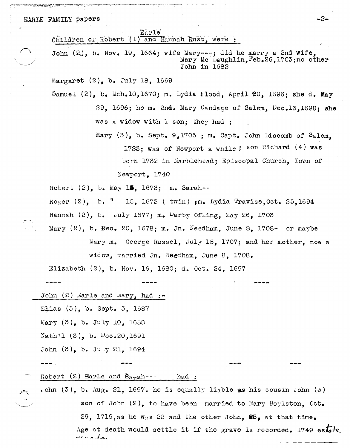## EARLE FAMILY papers  $-2-$

Earle<sup>'</sup>

Children of Robert  $(1)$  and Hannah Rust, were :

John (2), b. Nov. 19, 1664; wife Mary---; did he marry a 2nd wife, Mary Mc Laughlin, Feb.26,1703;no other John in 1682

Margaret (2), b. July 18, 1669

Samuel  $(2)$ , b. Mch.10,1670; m. Lydia Flood, April 20, 1696; she d. May *29, 1696j* he m. 2nd. Mary Candage of Salem, Dec.13,1698; she was a widow with 1 son; they had :

> Mary  $(3)$ , b. Sept. 9,1705 ; m. Capt. John Liscomb of Salem. 1723; was of Newport a while; son Richard (4) was born 1732 in Marblehead; Episcopal Church, Town of Newport, 1740

> > --~-

Robert  $(2)$ , b. May 15, 1673; m. Sarah--

Roger  $(2)$ , b.  $(15)$ , 1673 ( twin)  $\mu$ m. Lydia Travise, Oct. 25, 1694 Hannah  $(2)$ , b. July 1677; m. Darby Ofling, May 26, 1703

Mary (2), b. Bee. 20, 1678; m. In. Needham, June 8, 1708- or maybe Mary m. George Russel, July 15, 1707; and her mother, now a widow, married In. Needham, June 8, 1708.

Elizabeth (2), b. Nov. 16, 1680; d. Oct. 24, 1697

John  $(2)$  Earle and Mary, had :-

Efias (3), b. Sept. 3, 1687

Mary (3), b. July 10, 1688

Nath'l  $(3)$ , b.  $\mu$ ec.20,1691

John (3), b. July 21, 1694

Robert  $(2)$  **Harle and**  $\mathbf{B}_{a}$ **<sub>ra</sub>h---** had :

John  $(3)$ , b. Aug. 21, 1697. he is equally liable as his cousin John  $(3)$ son of John  $(2)$ , to have been married to Mary Boylston. Oct. 29, 1719, as he was 22 and the other John,  $85$ , at that time. Age at death would settle it if the grave is recorded. 1749 estate,  $\frac{1}{4}$